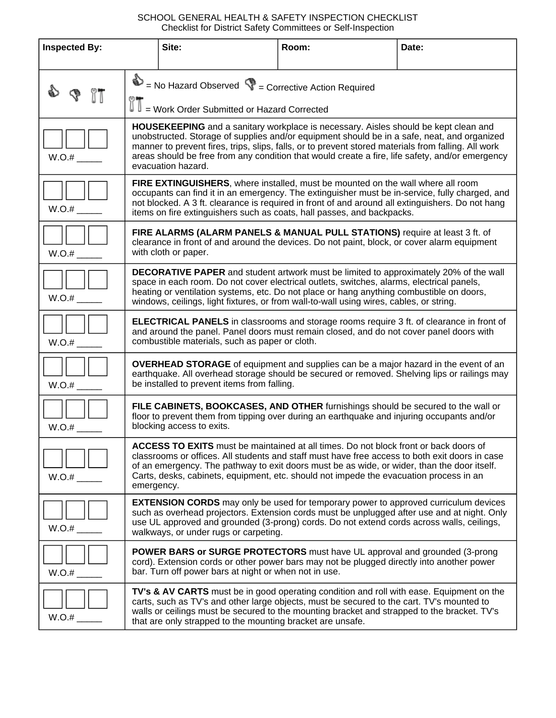## SCHOOL GENERAL HEALTH & SAFETY INSPECTION CHECKLIST Checklist for District Safety Committees or Self-Inspection

| <b>Inspected By:</b> |                                                                                                                                                                                                                                                                                                                                                                                                                    | Site:                                                                                                                                                                                                                                                                                                                                              | Room: | Date: |
|----------------------|--------------------------------------------------------------------------------------------------------------------------------------------------------------------------------------------------------------------------------------------------------------------------------------------------------------------------------------------------------------------------------------------------------------------|----------------------------------------------------------------------------------------------------------------------------------------------------------------------------------------------------------------------------------------------------------------------------------------------------------------------------------------------------|-------|-------|
|                      | $\bullet$ = No Hazard Observed $\bullet$ = Corrective Action Required<br>= Work Order Submitted or Hazard Corrected                                                                                                                                                                                                                                                                                                |                                                                                                                                                                                                                                                                                                                                                    |       |       |
| W.O.#                | HOUSEKEEPING and a sanitary workplace is necessary. Aisles should be kept clean and<br>unobstructed. Storage of supplies and/or equipment should be in a safe, neat, and organized<br>manner to prevent fires, trips, slips, falls, or to prevent stored materials from falling. All work<br>areas should be free from any condition that would create a fire, life safety, and/or emergency<br>evacuation hazard. |                                                                                                                                                                                                                                                                                                                                                    |       |       |
| W.O.#                | <b>FIRE EXTINGUISHERS</b> , where installed, must be mounted on the wall where all room<br>occupants can find it in an emergency. The extinguisher must be in-service, fully charged, and<br>not blocked. A 3 ft. clearance is required in front of and around all extinguishers. Do not hang<br>items on fire extinguishers such as coats, hall passes, and backpacks.                                            |                                                                                                                                                                                                                                                                                                                                                    |       |       |
| $W.O.$ #             | FIRE ALARMS (ALARM PANELS & MANUAL PULL STATIONS) require at least 3 ft. of<br>clearance in front of and around the devices. Do not paint, block, or cover alarm equipment<br>with cloth or paper.                                                                                                                                                                                                                 |                                                                                                                                                                                                                                                                                                                                                    |       |       |
| W.O.#                | <b>DECORATIVE PAPER</b> and student artwork must be limited to approximately 20% of the wall<br>space in each room. Do not cover electrical outlets, switches, alarms, electrical panels,<br>heating or ventilation systems, etc. Do not place or hang anything combustible on doors,<br>windows, ceilings, light fixtures, or from wall-to-wall using wires, cables, or string.                                   |                                                                                                                                                                                                                                                                                                                                                    |       |       |
| $W.O.$ #             | <b>ELECTRICAL PANELS</b> in classrooms and storage rooms require 3 ft. of clearance in front of<br>and around the panel. Panel doors must remain closed, and do not cover panel doors with<br>combustible materials, such as paper or cloth.                                                                                                                                                                       |                                                                                                                                                                                                                                                                                                                                                    |       |       |
| W.O.#                | <b>OVERHEAD STORAGE</b> of equipment and supplies can be a major hazard in the event of an<br>earthquake. All overhead storage should be secured or removed. Shelving lips or railings may<br>be installed to prevent items from falling.                                                                                                                                                                          |                                                                                                                                                                                                                                                                                                                                                    |       |       |
| W.O.#                | FILE CABINETS, BOOKCASES, AND OTHER furnishings should be secured to the wall or<br>floor to prevent them from tipping over during an earthquake and injuring occupants and/or<br>blocking access to exits.                                                                                                                                                                                                        |                                                                                                                                                                                                                                                                                                                                                    |       |       |
| W.O.#                | <b>ACCESS TO EXITS</b> must be maintained at all times. Do not block front or back doors of<br>classrooms or offices. All students and staff must have free access to both exit doors in case<br>of an emergency. The pathway to exit doors must be as wide, or wider, than the door itself.<br>Carts, desks, cabinets, equipment, etc. should not impede the evacuation process in an<br>emergency.               |                                                                                                                                                                                                                                                                                                                                                    |       |       |
| W.O.#                | <b>EXTENSION CORDS</b> may only be used for temporary power to approved curriculum devices<br>such as overhead projectors. Extension cords must be unplugged after use and at night. Only<br>use UL approved and grounded (3-prong) cords. Do not extend cords across walls, ceilings,<br>walkways, or under rugs or carpeting.                                                                                    |                                                                                                                                                                                                                                                                                                                                                    |       |       |
| W.O.#                | <b>POWER BARS or SURGE PROTECTORS</b> must have UL approval and grounded (3-prong<br>cord). Extension cords or other power bars may not be plugged directly into another power<br>bar. Turn off power bars at night or when not in use.                                                                                                                                                                            |                                                                                                                                                                                                                                                                                                                                                    |       |       |
| W.O.#                |                                                                                                                                                                                                                                                                                                                                                                                                                    | TV's & AV CARTS must be in good operating condition and roll with ease. Equipment on the<br>carts, such as TV's and other large objects, must be secured to the cart. TV's mounted to<br>walls or ceilings must be secured to the mounting bracket and strapped to the bracket. TV's<br>that are only strapped to the mounting bracket are unsafe. |       |       |